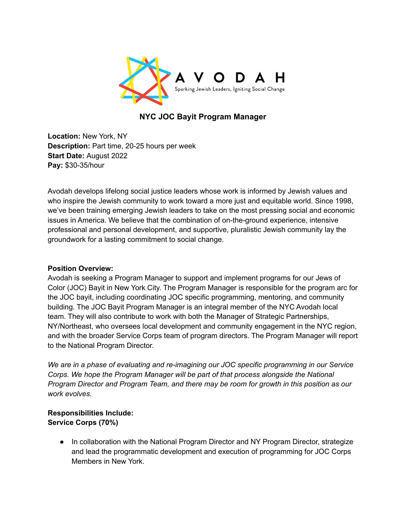

## **NYC JOC Bayit Program Manager**

**Location:** New York, NY **Description:** Part time, 20-25 hours per week **Start Date:** August 2022 **Pay:** \$30-35/hour

Avodah develops lifelong social justice leaders whose work is informed by Jewish values and who inspire the Jewish community to work toward a more just and equitable world. Since 1998, we've been training emerging Jewish leaders to take on the most pressing social and economic issues in America. We believe that the combination of on-the-ground experience, intensive professional and personal development, and supportive, pluralistic Jewish community lay the groundwork for a lasting commitment to social change.

#### **Position Overview:**

Avodah is seeking a Program Manager to support and implement programs for our Jews of Color (JOC) Bayit in New York City. The Program Manager is responsible for the program arc for the JOC bayit, including coordinating JOC specific programming, mentoring, and community building. The JOC Bayit Program Manager is an integral member of the NYC Avodah local team. They will also contribute to work with both the Manager of Strategic Partnerships, NY/Northeast, who oversees local development and community engagement in the NYC region, and with the broader Service Corps team of program directors. The Program Manager will report to the National Program Director.

*We are in a phase of evaluating and re-imagining our JOC specific programming in our Service Corps. We hope the Program Manager will be part of that process alongside the National Program Director and Program Team, and there may be room for growth in this position as our work evolves.*

#### **Responsibilities Include: Service Corps (70%)**

**●** In collaboration with the National Program Director and NY Program Director, strategize and lead the programmatic development and execution of programming for JOC Corps Members in New York.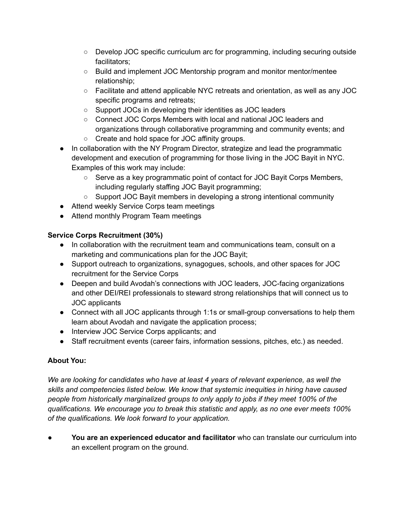- Develop JOC specific curriculum arc for programming, including securing outside facilitators;
- Build and implement JOC Mentorship program and monitor mentor/mentee relationship;
- **○** Facilitate and attend applicable NYC retreats and orientation, as well as any JOC specific programs and retreats;
- Support JOCs in developing their identities as JOC leaders
- **○** Connect JOC Corps Members with local and national JOC leaders and organizations through collaborative programming and community events; and
- Create and hold space for JOC affinity groups.
- **●** In collaboration with the NY Program Director, strategize and lead the programmatic development and execution of programming for those living in the JOC Bayit in NYC. Examples of this work may include:
	- **○** Serve as a key programmatic point of contact for JOC Bayit Corps Members, including regularly staffing JOC Bayit programming;
	- **○** Support JOC Bayit members in developing a strong intentional community
- Attend weekly Service Corps team meetings
- Attend monthly Program Team meetings

## **Service Corps Recruitment (30%)**

- In collaboration with the recruitment team and communications team, consult on a marketing and communications plan for the JOC Bayit;
- Support outreach to organizations, synagogues, schools, and other spaces for JOC recruitment for the Service Corps
- Deepen and build Avodah's connections with JOC leaders, JOC-facing organizations and other DEI/REI professionals to steward strong relationships that will connect us to JOC applicants
- Connect with all JOC applicants through 1:1s or small-group conversations to help them learn about Avodah and navigate the application process;
- Interview JOC Service Corps applicants; and
- Staff recruitment events (career fairs, information sessions, pitches, etc.) as needed.

# **About You:**

*We are looking for candidates who have at least 4 years of relevant experience, as well the skills and competencies listed below. We know that systemic inequities in hiring have caused people from historically marginalized groups to only apply to jobs if they meet 100% of the qualifications. We encourage you to break this statistic and apply, as no one ever meets 100% of the qualifications. We look forward to your application.*

**● You are an experienced educator and facilitator** who can translate our curriculum into an excellent program on the ground.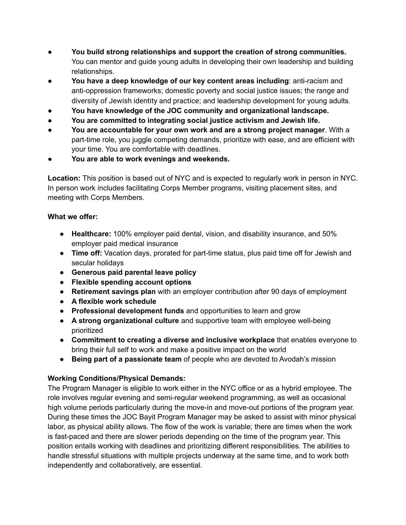- **● You build strong relationships and support the creation of strong communities.** You can mentor and guide young adults in developing their own leadership and building relationships.
- **● You have a deep knowledge of our key content areas including**: anti-racism and anti-oppression frameworks; domestic poverty and social justice issues; the range and diversity of Jewish identity and practice; and leadership development for young adults.
- **● You have knowledge of the JOC community and organizational landscape.**
- **● You are committed to integrating social justice activism and Jewish life.**
- **● You are accountable for your own work and are a strong project manager**. With a part-time role, you juggle competing demands, prioritize with ease, and are efficient with your time. You are comfortable with deadlines.
- **● You are able to work evenings and weekends.**

**Location:** This position is based out of NYC and is expected to regularly work in person in NYC. In person work includes facilitating Corps Member programs, visiting placement sites, and meeting with Corps Members.

### **What we offer:**

- **Healthcare:** 100% employer paid dental, vision, and disability insurance, and 50% employer paid medical insurance
- **Time off:** Vacation days, prorated for part-time status, plus paid time off for Jewish and secular holidays
- **Generous paid parental leave policy**
- **Flexible spending account options**
- **Retirement savings plan** with an employer contribution after 90 days of employment
- **● A flexible work schedule**
- **Professional development funds** and opportunities to learn and grow
- **A strong organizational culture** and supportive team with employee well-being prioritized
- **Commitment to creating a diverse and inclusive workplace** that enables everyone to bring their full self to work and make a positive impact on the world
- **Being part of a passionate team** of people who are devoted to Avodah's mission

### **Working Conditions/Physical Demands:**

The Program Manager is eligible to work either in the NYC office or as a hybrid employee. The role involves regular evening and semi-regular weekend programming, as well as occasional high volume periods particularly during the move-in and move-out portions of the program year. During these times the JOC Bayit Program Manager may be asked to assist with minor physical labor, as physical ability allows. The flow of the work is variable; there are times when the work is fast-paced and there are slower periods depending on the time of the program year. This position entails working with deadlines and prioritizing different responsibilities. The abilities to handle stressful situations with multiple projects underway at the same time, and to work both independently and collaboratively, are essential.